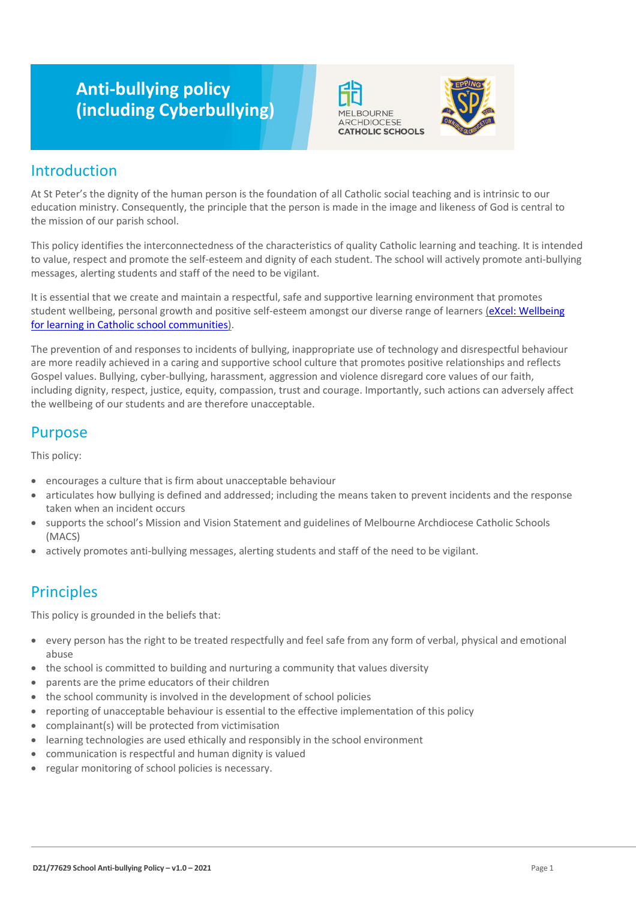# **Anti-bullying policy (including Cyberbullying)**





### Introduction

At St Peter's the dignity of the human person is the foundation of all Catholic social teaching and is intrinsic to our education ministry. Consequently, the principle that the person is made in the image and likeness of God is central to the mission of our parish school.

This policy identifies the interconnectedness of the characteristics of quality Catholic learning and teaching. It is intended to value, respect and promote the self-esteem and dignity of each student. The school will actively promote anti-bullying messages, alerting students and staff of the need to be vigilant.

It is essential that we create and maintain a respectful, safe and supportive learning environment that promotes student wellbeing, personal growth and positive self-esteem amongst our diverse range of learners (eXcel: Wellbeing [for learning in Catholic school communities\)](https://cevn.cecv.catholic.edu.au/Melb/Student-Support/Student-Wellbeing/eXcel#excel:-wellbeing-for-learning-in-catholic-school-communities).

The prevention of and responses to incidents of bullying, inappropriate use of technology and disrespectful behaviour are more readily achieved in a caring and supportive school culture that promotes positive relationships and reflects Gospel values. Bullying, cyber-bullying, harassment, aggression and violence disregard core values of our faith, including dignity, respect, justice, equity, compassion, trust and courage. Importantly, such actions can adversely affect the wellbeing of our students and are therefore unacceptable.

### Purpose

This policy:

- encourages a culture that is firm about unacceptable behaviour
- articulates how bullying is defined and addressed; including the means taken to prevent incidents and the response taken when an incident occurs
- supports the school's Mission and Vision Statement and guidelines of Melbourne Archdiocese Catholic Schools (MACS)
- actively promotes anti-bullying messages, alerting students and staff of the need to be vigilant.

## **Principles**

This policy is grounded in the beliefs that:

- every person has the right to be treated respectfully and feel safe from any form of verbal, physical and emotional abuse
- the school is committed to building and nurturing a community that values diversity
- parents are the prime educators of their children
- the school community is involved in the development of school policies
- reporting of unacceptable behaviour is essential to the effective implementation of this policy
- complainant(s) will be protected from victimisation
- learning technologies are used ethically and responsibly in the school environment
- communication is respectful and human dignity is valued
- regular monitoring of school policies is necessary.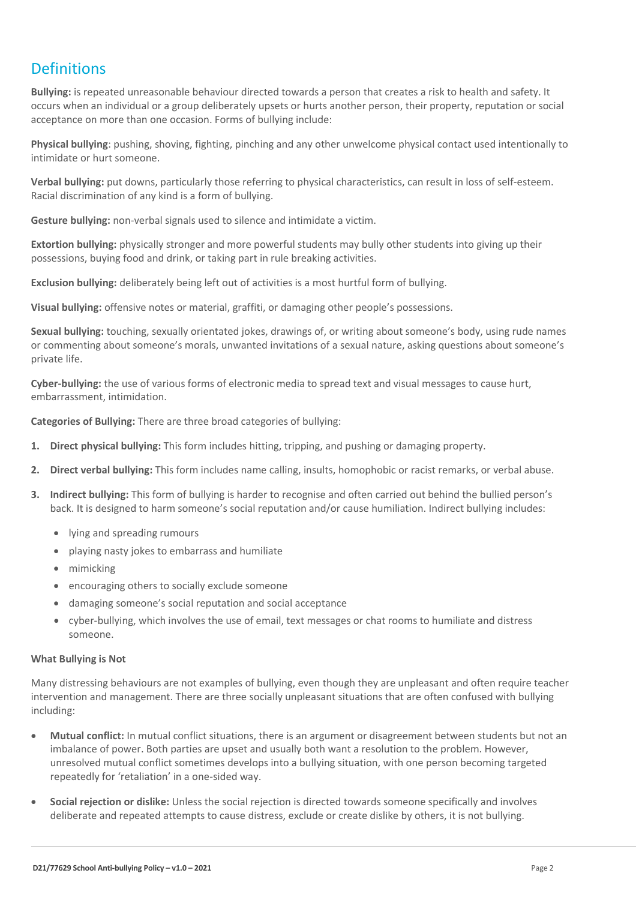## **Definitions**

**Bullying:** is repeated unreasonable behaviour directed towards a person that creates a risk to health and safety. It occurs when an individual or a group deliberately upsets or hurts another person, their property, reputation or social acceptance on more than one occasion. Forms of bullying include:

**Physical bullying**: pushing, shoving, fighting, pinching and any other unwelcome physical contact used intentionally to intimidate or hurt someone.

**Verbal bullying:** put downs, particularly those referring to physical characteristics, can result in loss of self-esteem. Racial discrimination of any kind is a form of bullying.

**Gesture bullying:** non-verbal signals used to silence and intimidate a victim.

**Extortion bullying:** physically stronger and more powerful students may bully other students into giving up their possessions, buying food and drink, or taking part in rule breaking activities.

**Exclusion bullying:** deliberately being left out of activities is a most hurtful form of bullying.

**Visual bullying:** offensive notes or material, graffiti, or damaging other people's possessions.

**Sexual bullying:** touching, sexually orientated jokes, drawings of, or writing about someone's body, using rude names or commenting about someone's morals, unwanted invitations of a sexual nature, asking questions about someone's private life.

**Cyber-bullying:** the use of various forms of electronic media to spread text and visual messages to cause hurt, embarrassment, intimidation.

**Categories of Bullying:** There are three broad categories of bullying:

- **1. Direct physical bullying:** This form includes hitting, tripping, and pushing or damaging property.
- **2. Direct verbal bullying:** This form includes name calling, insults, homophobic or racist remarks, or verbal abuse.
- **3. Indirect bullying:** This form of bullying is harder to recognise and often carried out behind the bullied person's back. It is designed to harm someone's social reputation and/or cause humiliation. Indirect bullying includes:
	- lying and spreading rumours
	- playing nasty jokes to embarrass and humiliate
	- mimicking
	- encouraging others to socially exclude someone
	- damaging someone's social reputation and social acceptance
	- cyber-bullying, which involves the use of email, text messages or chat rooms to humiliate and distress someone.

#### **What Bullying is Not**

Many distressing behaviours are not examples of bullying, even though they are unpleasant and often require teacher intervention and management. There are three socially unpleasant situations that are often confused with bullying including:

- **Mutual conflict:** In mutual conflict situations, there is an argument or disagreement between students but not an imbalance of power. Both parties are upset and usually both want a resolution to the problem. However, unresolved mutual conflict sometimes develops into a bullying situation, with one person becoming targeted repeatedly for 'retaliation' in a one-sided way.
- **Social rejection or dislike:** Unless the social rejection is directed towards someone specifically and involves deliberate and repeated attempts to cause distress, exclude or create dislike by others, it is not bullying.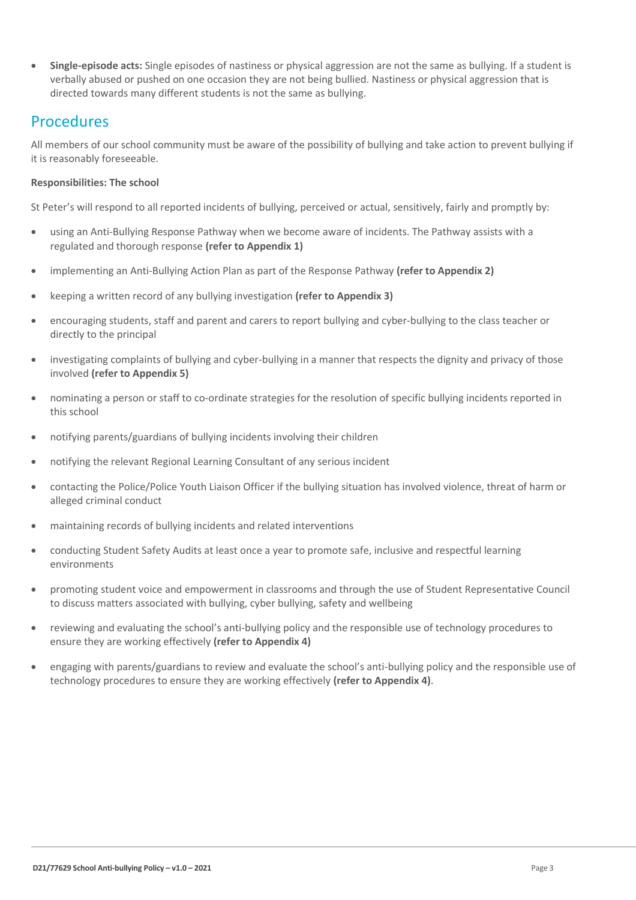**Single-episode acts:** Single episodes of nastiness or physical aggression are not the same as bullying. If a student is verbally abused or pushed on one occasion they are not being bullied. Nastiness or physical aggression that is directed towards many different students is not the same as bullying.

### Procedures

All members of our school community must be aware of the possibility of bullying and take action to prevent bullying if it is reasonably foreseeable.

#### **Responsibilities: The school**

St Peter's will respond to all reported incidents of bullying, perceived or actual, sensitively, fairly and promptly by:

- using an Anti-Bullying Response Pathway when we become aware of incidents. The Pathway assists with a regulated and thorough response **(refer to Appendix 1)**
- implementing an Anti-Bullying Action Plan as part of the Response Pathway **(refer to Appendix 2)**
- keeping a written record of any bullying investigation **(refer to Appendix 3)**
- encouraging students, staff and parent and carers to report bullying and cyber-bullying to the class teacher or directly to the principal
- investigating complaints of bullying and cyber-bullying in a manner that respects the dignity and privacy of those involved **(refer to Appendix 5)**
- nominating a person or staff to co-ordinate strategies for the resolution of specific bullying incidents reported in this school
- notifying parents/guardians of bullying incidents involving their children
- notifying the relevant Regional Learning Consultant of any serious incident
- contacting the Police/Police Youth Liaison Officer if the bullying situation has involved violence, threat of harm or alleged criminal conduct
- maintaining records of bullying incidents and related interventions
- conducting Student Safety Audits at least once a year to promote safe, inclusive and respectful learning environments
- promoting student voice and empowerment in classrooms and through the use of Student Representative Council to discuss matters associated with bullying, cyber bullying, safety and wellbeing
- reviewing and evaluating the school's anti-bullying policy and the responsible use of technology procedures to ensure they are working effectively **(refer to Appendix 4)**
- engaging with parents/guardians to review and evaluate the school's anti-bullying policy and the responsible use of technology procedures to ensure they are working effectively **(refer to Appendix 4)**.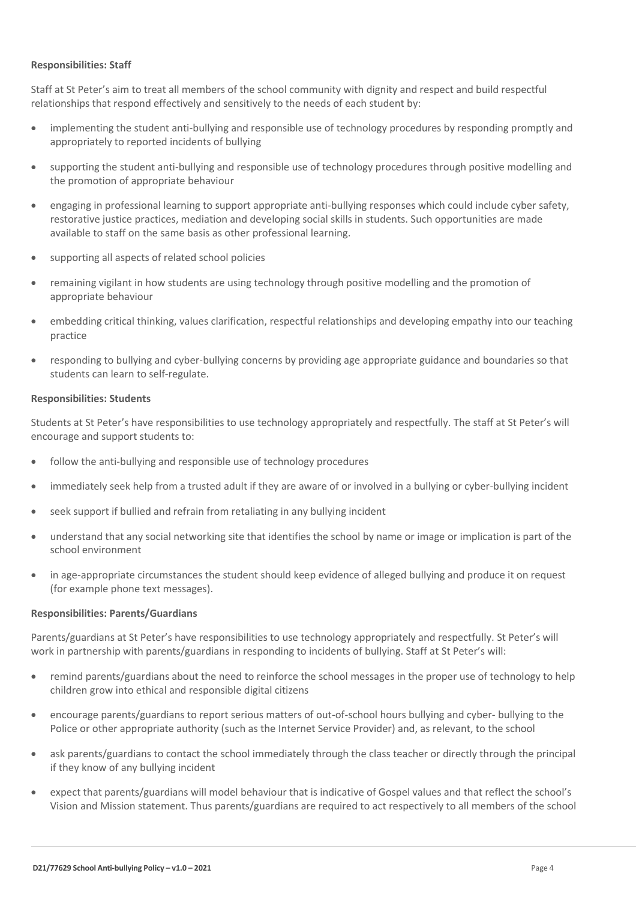#### **Responsibilities: Staff**

Staff at St Peter's aim to treat all members of the school community with dignity and respect and build respectful relationships that respond effectively and sensitively to the needs of each student by:

- implementing the student anti-bullying and responsible use of technology procedures by responding promptly and appropriately to reported incidents of bullying
- supporting the student anti-bullying and responsible use of technology procedures through positive modelling and the promotion of appropriate behaviour
- engaging in professional learning to support appropriate anti-bullying responses which could include cyber safety, restorative justice practices, mediation and developing social skills in students. Such opportunities are made available to staff on the same basis as other professional learning.
- supporting all aspects of related school policies
- remaining vigilant in how students are using technology through positive modelling and the promotion of appropriate behaviour
- embedding critical thinking, values clarification, respectful relationships and developing empathy into our teaching practice
- responding to bullying and cyber-bullying concerns by providing age appropriate guidance and boundaries so that students can learn to self-regulate.

#### **Responsibilities: Students**

Students at St Peter's have responsibilities to use technology appropriately and respectfully. The staff at St Peter's will encourage and support students to:

- follow the anti-bullying and responsible use of technology procedures
- immediately seek help from a trusted adult if they are aware of or involved in a bullying or cyber-bullying incident
- seek support if bullied and refrain from retaliating in any bullying incident
- understand that any social networking site that identifies the school by name or image or implication is part of the school environment
- in age-appropriate circumstances the student should keep evidence of alleged bullying and produce it on request (for example phone text messages).

#### **Responsibilities: Parents/Guardians**

Parents/guardians at St Peter's have responsibilities to use technology appropriately and respectfully. St Peter's will work in partnership with parents/guardians in responding to incidents of bullying. Staff at St Peter's will:

- remind parents/guardians about the need to reinforce the school messages in the proper use of technology to help children grow into ethical and responsible digital citizens
- encourage parents/guardians to report serious matters of out-of-school hours bullying and cyber- bullying to the Police or other appropriate authority (such as the Internet Service Provider) and, as relevant, to the school
- ask parents/guardians to contact the school immediately through the class teacher or directly through the principal if they know of any bullying incident
- expect that parents/guardians will model behaviour that is indicative of Gospel values and that reflect the school's Vision and Mission statement. Thus parents/guardians are required to act respectively to all members of the school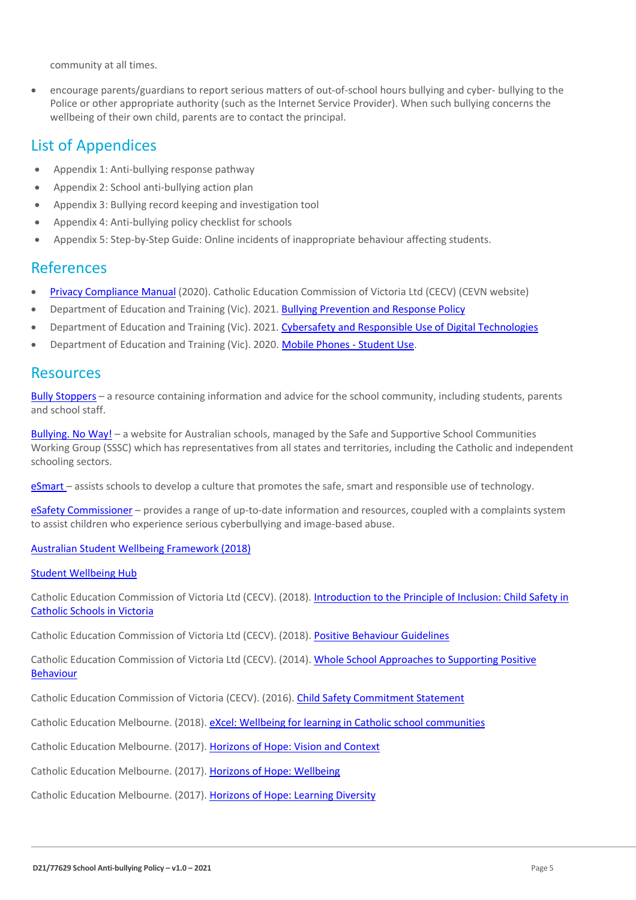community at all times.

 encourage parents/guardians to report serious matters of out-of-school hours bullying and cyber- bullying to the Police or other appropriate authority (such as the Internet Service Provider). When such bullying concerns the wellbeing of their own child, parents are to contact the principal.

### List of Appendices

- Appendix 1: Anti-bullying response pathway
- Appendix 2: School anti-bullying action plan
- Appendix 3: Bullying record keeping and investigation tool
- Appendix 4: Anti-bullying policy checklist for schools
- Appendix 5: Step-by-Step Guide: Online incidents of inappropriate behaviour affecting students.

### References

- [Privacy Compliance Manual](https://cevn.cecv.catholic.edu.au/Melb/Document-File/Polices-Compliance-and-Legal/Privacy/Privacy-Compliance-Manual.aspx) (2020). Catholic Education Commission of Victoria Ltd (CECV) (CEVN website)
- Department of Education and Training (Vic). 2021. [Bullying Prevention and Response Policy](https://www2.education.vic.gov.au/pal/bullying-prevention-response/policy)
- Department of Education and Training (Vic). 2021. [Cybersafety and Responsible Use of Digital Technologies](https://www2.education.vic.gov.au/pal/cybersafety/policy)
- Department of Education and Training (Vic). 2020[. Mobile Phones -](https://www2.education.vic.gov.au/pal/students-using-mobile-phones/policy) Student Use.

### Resources

Bully [Stoppers](https://www.education.vic.gov.au/about/programs/bullystoppers/Pages/default.aspx) – a resource containing information and advice for the school community, including students, parents and school staff.

[Bullying. No](https://bullyingnoway.gov.au/) Way! – a website for Australian schools, managed by the Safe and Supportive School Communities Working Group (SSSC) which has representatives from all states and territories, including the Catholic and independent schooling sectors.

[eSmart](https://www.education.vic.gov.au/about/programs/bullystoppers/Pages/esmart.aspx) – assists schools to develop a culture that promotes the safe, smart and responsible use of technology.

eSafety [Commissioner](https://www.esafety.gov.au/) – provides a range of up-to-date information and resources, coupled with a complaints system to assist children who experience serious cyberbullying and image-based abuse.

#### [Australian Student Wellbeing Framework \(2018\)](https://www.studentwellbeinghub.edu.au/docs/default-source/aswf_booklet-pdf.pdf)

#### [Student Wellbeing Hub](https://www.studentwellbeinghub.edu.au/)

Catholic Education Commission of Victoria Ltd (CECV). (2018). [Introduction to the Principle of Inclusion: Child Safety in](https://cevn.cecv.catholic.edu.au/childsafety/standards.aspx)  [Catholic Schools in Victoria](https://cevn.cecv.catholic.edu.au/childsafety/standards.aspx)

Catholic Education Commission of Victoria Ltd (CECV). (2018). [Positive Behaviour Guidelines](http://www.cecv.catholic.edu.au/getmedia/bc1d235d-9a98-4bb4-b3ac-84b50fa7c639/CECV-Positive-Behaviour-Guidelines_FINAL2.aspx?ext=.pdf)

Catholic Education Commission of Victoria Ltd (CECV). (2014). [Whole School Approaches to Supporting Positive](http://www.cecv.catholic.edu.au/getmedia/9a82dbf1-965d-41c7-922c-ea5dd86cc52a/Positive-Student-Behaviour.aspx?ext=.pdf)  [Behaviour](http://www.cecv.catholic.edu.au/getmedia/9a82dbf1-965d-41c7-922c-ea5dd86cc52a/Positive-Student-Behaviour.aspx?ext=.pdf)

Catholic Education Commission of Victoria (CECV). (2016). [Child Safety Commitment Statement](https://www.cem.edu.au/CatholicEducationMelbourne/media/Documentation/Documents/Child-Safety-Commitment-Statement.pdf)

Catholic Education Melbourne. (2018). [eXcel: Wellbeing for learning in Catholic school communities](https://www.cem.edu.au/Our-Schools/Curriculum-Learning-Programs/Student-Wellbeing/eXcel.aspx)

Catholic Education Melbourne. (2017). [Horizons of Hope: Vision and Context](https://www.cem.edu.au/Our-Schools/Curriculum-Learning-Programs/Horizons-of-Hope/Vision-Context.aspx)

Catholic Education Melbourne. (2017). [Horizons of Hope: Wellbeing](https://www.cem.edu.au/Our-Schools/Curriculum-Learning-Programs/Student-Wellbeing.aspx)

Catholic Education Melbourne. (2017). [Horizons of Hope: Learning Diversity](https://www.cem.edu.au/Our-Schools/Curriculum-Learning-Programs/Horizons-of-Hope/Learning-Diversity.aspx)